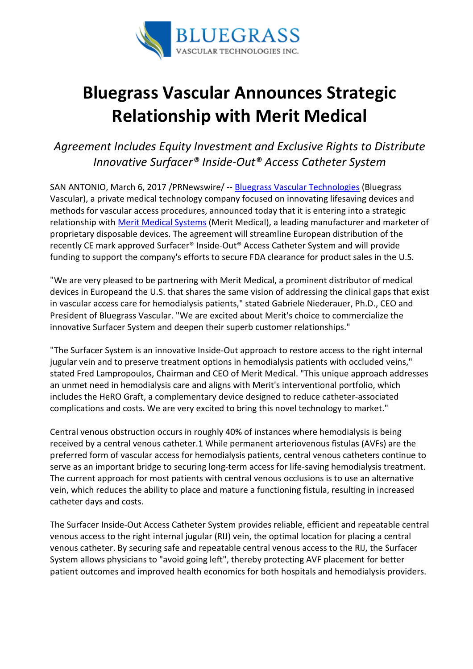

## Bluegrass Vascular Announces Strategic Relationship with Merit Medical

## Agreement Includes Equity Investment and Exclusive Rights to Distribute Innovative Surfacer® Inside-Out® Access Catheter System

SAN ANTONIO, March 6, 2017 /PRNewswire/ -- Bluegrass Vascular Technologies (Bluegrass Vascular), a private medical technology company focused on innovating lifesaving devices and methods for vascular access procedures, announced today that it is entering into a strategic relationship with Merit Medical Systems (Merit Medical), a leading manufacturer and marketer of proprietary disposable devices. The agreement will streamline European distribution of the recently CE mark approved Surfacer® Inside-Out® Access Catheter System and will provide funding to support the company's efforts to secure FDA clearance for product sales in the U.S.

"We are very pleased to be partnering with Merit Medical, a prominent distributor of medical devices in Europeand the U.S. that shares the same vision of addressing the clinical gaps that exist in vascular access care for hemodialysis patients," stated Gabriele Niederauer, Ph.D., CEO and President of Bluegrass Vascular. "We are excited about Merit's choice to commercialize the innovative Surfacer System and deepen their superb customer relationships."

"The Surfacer System is an innovative Inside-Out approach to restore access to the right internal jugular vein and to preserve treatment options in hemodialysis patients with occluded veins," stated Fred Lampropoulos, Chairman and CEO of Merit Medical. "This unique approach addresses an unmet need in hemodialysis care and aligns with Merit's interventional portfolio, which includes the HeRO Graft, a complementary device designed to reduce catheter-associated complications and costs. We are very excited to bring this novel technology to market."

Central venous obstruction occurs in roughly 40% of instances where hemodialysis is being received by a central venous catheter.1 While permanent arteriovenous fistulas (AVFs) are the preferred form of vascular access for hemodialysis patients, central venous catheters continue to serve as an important bridge to securing long-term access for life-saving hemodialysis treatment. The current approach for most patients with central venous occlusions is to use an alternative vein, which reduces the ability to place and mature a functioning fistula, resulting in increased catheter days and costs.

The Surfacer Inside-Out Access Catheter System provides reliable, efficient and repeatable central venous access to the right internal jugular (RIJ) vein, the optimal location for placing a central venous catheter. By securing safe and repeatable central venous access to the RIJ, the Surfacer System allows physicians to "avoid going left", thereby protecting AVF placement for better patient outcomes and improved health economics for both hospitals and hemodialysis providers.